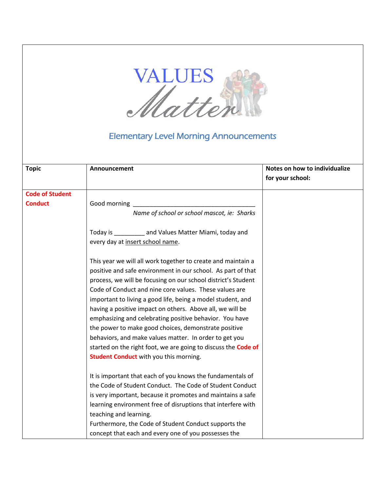

## Elementary Level Morning Announcements

| <b>Topic</b>           | Announcement                                                          | Notes on how to individualize<br>for your school: |
|------------------------|-----------------------------------------------------------------------|---------------------------------------------------|
| <b>Code of Student</b> |                                                                       |                                                   |
| <b>Conduct</b>         | Good morning                                                          |                                                   |
|                        | Name of school or school mascot, ie: Sharks                           |                                                   |
|                        | Today is __________ and Values Matter Miami, today and                |                                                   |
|                        | every day at insert school name.                                      |                                                   |
|                        | This year we will all work together to create and maintain a          |                                                   |
|                        | positive and safe environment in our school. As part of that          |                                                   |
|                        | process, we will be focusing on our school district's Student         |                                                   |
|                        | Code of Conduct and nine core values. These values are                |                                                   |
|                        | important to living a good life, being a model student, and           |                                                   |
|                        | having a positive impact on others. Above all, we will be             |                                                   |
|                        | emphasizing and celebrating positive behavior. You have               |                                                   |
|                        | the power to make good choices, demonstrate positive                  |                                                   |
|                        | behaviors, and make values matter. In order to get you                |                                                   |
|                        | started on the right foot, we are going to discuss the <b>Code of</b> |                                                   |
|                        | <b>Student Conduct</b> with you this morning.                         |                                                   |
|                        | It is important that each of you knows the fundamentals of            |                                                   |
|                        | the Code of Student Conduct. The Code of Student Conduct              |                                                   |
|                        | is very important, because it promotes and maintains a safe           |                                                   |
|                        | learning environment free of disruptions that interfere with          |                                                   |
|                        | teaching and learning.                                                |                                                   |
|                        | Furthermore, the Code of Student Conduct supports the                 |                                                   |
|                        | concept that each and every one of you possesses the                  |                                                   |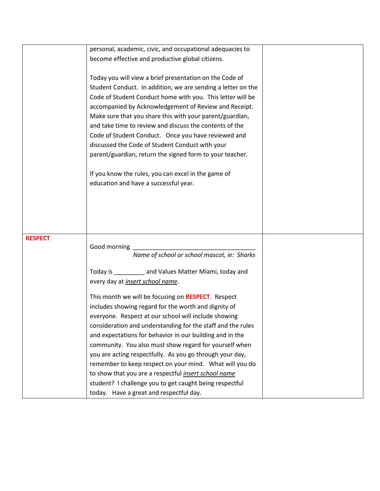|                | personal, academic, civic, and occupational adequacies to    |  |
|----------------|--------------------------------------------------------------|--|
|                | become effective and productive global citizens.             |  |
|                |                                                              |  |
|                | Today you will view a brief presentation on the Code of      |  |
|                | Student Conduct. In addition, we are sending a letter on the |  |
|                | Code of Student Conduct home with you. This letter will be   |  |
|                | accompanied by Acknowledgement of Review and Receipt.        |  |
|                | Make sure that you share this with your parent/guardian,     |  |
|                | and take time to review and discuss the contents of the      |  |
|                | Code of Student Conduct. Once you have reviewed and          |  |
|                | discussed the Code of Student Conduct with your              |  |
|                |                                                              |  |
|                | parent/guardian, return the signed form to your teacher.     |  |
|                | If you know the rules, you can excel in the game of          |  |
|                | education and have a successful year.                        |  |
|                |                                                              |  |
|                |                                                              |  |
|                |                                                              |  |
|                |                                                              |  |
|                |                                                              |  |
| <b>RESPECT</b> |                                                              |  |
|                | Good morning                                                 |  |
|                | Name of school or school mascot, ie: Sharks                  |  |
|                |                                                              |  |
|                | Today is ___________ and Values Matter Miami, today and      |  |
|                | every day at <i>insert school name</i> .                     |  |
|                | This month we will be focusing on RESPECT. Respect           |  |
|                | includes showing regard for the worth and dignity of         |  |
|                | everyone. Respect at our school will include showing         |  |
|                | consideration and understanding for the staff and the rules  |  |
|                | and expectations for behavior in our building and in the     |  |
|                | community. You also must show regard for yourself when       |  |
|                | you are acting respectfully. As you go through your day,     |  |
|                | remember to keep respect on your mind. What will you do      |  |
|                | to show that you are a respectful <i>insert school name</i>  |  |
|                | student? I challenge you to get caught being respectful      |  |
|                | today. Have a great and respectful day.                      |  |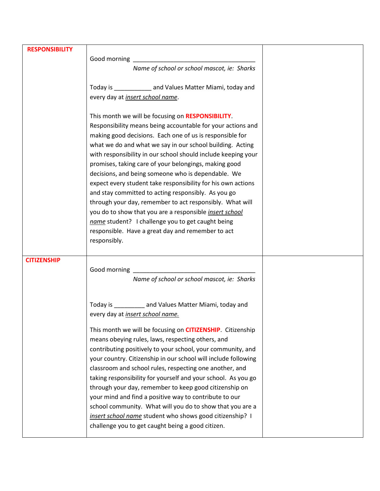| <b>RESPONSIBILITY</b> |                                                                     |  |
|-----------------------|---------------------------------------------------------------------|--|
|                       | Good morning                                                        |  |
|                       | Name of school or school mascot, ie: Sharks                         |  |
|                       |                                                                     |  |
|                       | Today is ____________ and Values Matter Miami, today and            |  |
|                       | every day at <i>insert school name</i> .                            |  |
|                       |                                                                     |  |
|                       | This month we will be focusing on RESPONSIBILITY.                   |  |
|                       | Responsibility means being accountable for your actions and         |  |
|                       | making good decisions. Each one of us is responsible for            |  |
|                       | what we do and what we say in our school building. Acting           |  |
|                       | with responsibility in our school should include keeping your       |  |
|                       | promises, taking care of your belongings, making good               |  |
|                       | decisions, and being someone who is dependable. We                  |  |
|                       | expect every student take responsibility for his own actions        |  |
|                       | and stay committed to acting responsibly. As you go                 |  |
|                       | through your day, remember to act responsibly. What will            |  |
|                       | you do to show that you are a responsible insert school             |  |
|                       | name student? I challenge you to get caught being                   |  |
|                       | responsible. Have a great day and remember to act                   |  |
|                       | responsibly.                                                        |  |
|                       |                                                                     |  |
| <b>CITIZENSHIP</b>    |                                                                     |  |
|                       | <u> 1989 - Johann Barbara, martxa alemaniar a</u><br>Good morning _ |  |
|                       | Name of school or school mascot, ie: Sharks                         |  |
|                       |                                                                     |  |
|                       |                                                                     |  |
|                       | Today is ___________ and Values Matter Miami, today and             |  |
|                       | every day at <i>insert school name.</i>                             |  |
|                       |                                                                     |  |
|                       | This month we will be focusing on <b>CITIZENSHIP</b> . Citizenship  |  |
|                       | means obeying rules, laws, respecting others, and                   |  |
|                       | contributing positively to your school, your community, and         |  |
|                       | your country. Citizenship in our school will include following      |  |
|                       | classroom and school rules, respecting one another, and             |  |
|                       | taking responsibility for yourself and your school. As you go       |  |
|                       |                                                                     |  |
|                       | through your day, remember to keep good citizenship on              |  |
|                       | your mind and find a positive way to contribute to our              |  |
|                       | school community. What will you do to show that you are a           |  |
|                       | insert school name student who shows good citizenship? I            |  |
|                       | challenge you to get caught being a good citizen.                   |  |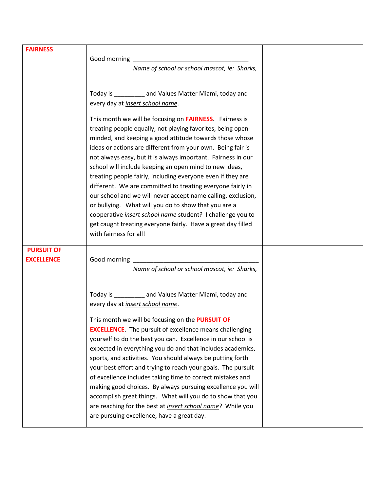| <b>FAIRNESS</b>                        | Name of school or school mascot, ie: Sharks,                                                                                                                                                                                                                                                                                                                                                                                                                                                                                                                                                                                                                                                                                                                                                               |  |
|----------------------------------------|------------------------------------------------------------------------------------------------------------------------------------------------------------------------------------------------------------------------------------------------------------------------------------------------------------------------------------------------------------------------------------------------------------------------------------------------------------------------------------------------------------------------------------------------------------------------------------------------------------------------------------------------------------------------------------------------------------------------------------------------------------------------------------------------------------|--|
|                                        | Today is ___________ and Values Matter Miami, today and<br>every day at <i>insert school name</i> .                                                                                                                                                                                                                                                                                                                                                                                                                                                                                                                                                                                                                                                                                                        |  |
|                                        | This month we will be focusing on <b>FAIRNESS</b> . Fairness is<br>treating people equally, not playing favorites, being open-<br>minded, and keeping a good attitude towards those whose<br>ideas or actions are different from your own. Being fair is<br>not always easy, but it is always important. Fairness in our<br>school will include keeping an open mind to new ideas,<br>treating people fairly, including everyone even if they are<br>different. We are committed to treating everyone fairly in<br>our school and we will never accept name calling, exclusion,<br>or bullying. What will you do to show that you are a<br>cooperative <i>insert school name</i> student? I challenge you to<br>get caught treating everyone fairly. Have a great day filled<br>with fairness for all!     |  |
| <b>PURSUIT OF</b><br><b>EXCELLENCE</b> | Name of school or school mascot, ie: Sharks,                                                                                                                                                                                                                                                                                                                                                                                                                                                                                                                                                                                                                                                                                                                                                               |  |
|                                        | Today is __________ and Values Matter Miami, today and<br>every day at <i>insert school name</i> .<br>This month we will be focusing on the <b>PURSUIT OF</b><br><b>EXCELLENCE.</b> The pursuit of excellence means challenging<br>yourself to do the best you can. Excellence in our school is<br>expected in everything you do and that includes academics,<br>sports, and activities. You should always be putting forth<br>your best effort and trying to reach your goals. The pursuit<br>of excellence includes taking time to correct mistakes and<br>making good choices. By always pursuing excellence you will<br>accomplish great things. What will you do to show that you<br>are reaching for the best at <i>insert school name</i> ? While you<br>are pursuing excellence, have a great day. |  |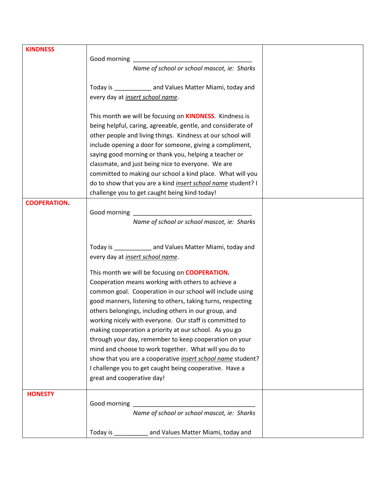| <b>KINDNESS</b>     |                                                                 |  |
|---------------------|-----------------------------------------------------------------|--|
|                     | Good morning                                                    |  |
|                     | Name of school or school mascot, ie: Sharks                     |  |
|                     |                                                                 |  |
|                     | Today is _____________ and Values Matter Miami, today and       |  |
|                     | every day at <i>insert school name</i> .                        |  |
|                     |                                                                 |  |
|                     | This month we will be focusing on <b>KINDNESS</b> . Kindness is |  |
|                     | being helpful, caring, agreeable, gentle, and considerate of    |  |
|                     | other people and living things. Kindness at our school will     |  |
|                     | include opening a door for someone, giving a compliment,        |  |
|                     | saying good morning or thank you, helping a teacher or          |  |
|                     |                                                                 |  |
|                     | classmate, and just being nice to everyone. We are              |  |
|                     | committed to making our school a kind place. What will you      |  |
|                     | do to show that you are a kind insert school name student? I    |  |
|                     | challenge you to get caught being kind today!                   |  |
| <b>COOPERATION.</b> |                                                                 |  |
|                     | Good morning                                                    |  |
|                     | Name of school or school mascot, ie: Sharks                     |  |
|                     |                                                                 |  |
|                     | Today is ______________ and Values Matter Miami, today and      |  |
|                     |                                                                 |  |
|                     | every day at <i>insert school name</i> .                        |  |
|                     | This month we will be focusing on <b>COOPERATION.</b>           |  |
|                     | Cooperation means working with others to achieve a              |  |
|                     | common goal. Cooperation in our school will include using       |  |
|                     | good manners, listening to others, taking turns, respecting     |  |
|                     | others belongings, including others in our group, and           |  |
|                     | working nicely with everyone. Our staff is committed to         |  |
|                     | making cooperation a priority at our school. As you go          |  |
|                     |                                                                 |  |
|                     | through your day, remember to keep cooperation on your          |  |
|                     | mind and choose to work together. What will you do to           |  |
|                     | show that you are a cooperative insert school name student?     |  |
|                     | I challenge you to get caught being cooperative. Have a         |  |
|                     | great and cooperative day!                                      |  |
| <b>HONESTY</b>      |                                                                 |  |
|                     |                                                                 |  |
|                     | Name of school or school mascot, ie: Sharks                     |  |
|                     |                                                                 |  |
|                     | Today is ____________ and Values Matter Miami, today and        |  |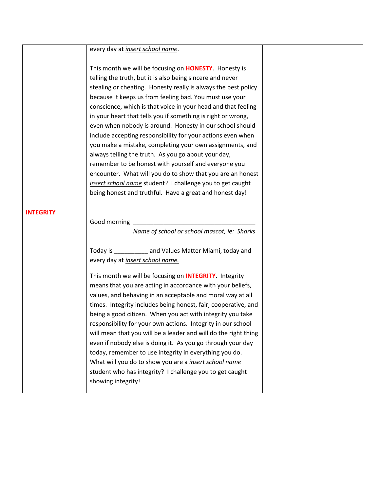|                  | every day at <i>insert school name</i> .                                                                                                                                                                                                                                                                                                                                                                                                                                                                                                                                                                                                                                                                                                                                                                                                                                                                        |  |
|------------------|-----------------------------------------------------------------------------------------------------------------------------------------------------------------------------------------------------------------------------------------------------------------------------------------------------------------------------------------------------------------------------------------------------------------------------------------------------------------------------------------------------------------------------------------------------------------------------------------------------------------------------------------------------------------------------------------------------------------------------------------------------------------------------------------------------------------------------------------------------------------------------------------------------------------|--|
|                  | This month we will be focusing on <b>HONESTY</b> . Honesty is<br>telling the truth, but it is also being sincere and never<br>stealing or cheating. Honesty really is always the best policy<br>because it keeps us from feeling bad. You must use your<br>conscience, which is that voice in your head and that feeling<br>in your heart that tells you if something is right or wrong,<br>even when nobody is around. Honesty in our school should<br>include accepting responsibility for your actions even when<br>you make a mistake, completing your own assignments, and<br>always telling the truth. As you go about your day,<br>remember to be honest with yourself and everyone you<br>encounter. What will you do to show that you are an honest<br>insert school name student? I challenge you to get caught<br>being honest and truthful. Have a great and honest day!                            |  |
|                  |                                                                                                                                                                                                                                                                                                                                                                                                                                                                                                                                                                                                                                                                                                                                                                                                                                                                                                                 |  |
| <b>INTEGRITY</b> | Good morning<br>Name of school or school mascot, ie: Sharks<br>Today is ____________ and Values Matter Miami, today and<br>every day at <i>insert school name</i> .<br>This month we will be focusing on <b>INTEGRITY</b> . Integrity<br>means that you are acting in accordance with your beliefs,<br>values, and behaving in an acceptable and moral way at all<br>times. Integrity includes being honest, fair, cooperative, and<br>being a good citizen. When you act with integrity you take<br>responsibility for your own actions. Integrity in our school<br>will mean that you will be a leader and will do the right thing<br>even if nobody else is doing it. As you go through your day<br>today, remember to use integrity in everything you do.<br>What will you do to show you are a <i>insert school name</i><br>student who has integrity? I challenge you to get caught<br>showing integrity! |  |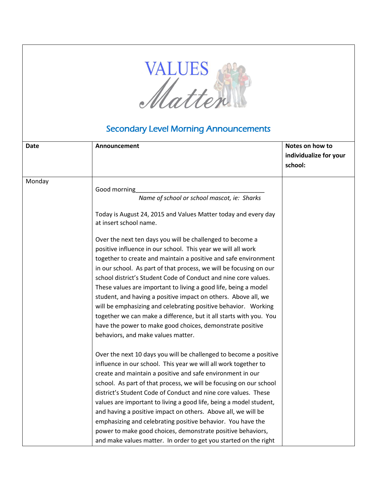

## Secondary Level Morning Announcements

| Date   | Announcement                                                                             | Notes on how to<br>individualize for your<br>school: |
|--------|------------------------------------------------------------------------------------------|------------------------------------------------------|
| Monday |                                                                                          |                                                      |
|        | Good morning                                                                             |                                                      |
|        | Name of school or school mascot, ie: Sharks                                              |                                                      |
|        | Today is August 24, 2015 and Values Matter today and every day<br>at insert school name. |                                                      |
|        | Over the next ten days you will be challenged to become a                                |                                                      |
|        | positive influence in our school. This year we will all work                             |                                                      |
|        | together to create and maintain a positive and safe environment                          |                                                      |
|        | in our school. As part of that process, we will be focusing on our                       |                                                      |
|        | school district's Student Code of Conduct and nine core values.                          |                                                      |
|        | These values are important to living a good life, being a model                          |                                                      |
|        | student, and having a positive impact on others. Above all, we                           |                                                      |
|        | will be emphasizing and celebrating positive behavior. Working                           |                                                      |
|        | together we can make a difference, but it all starts with you. You                       |                                                      |
|        | have the power to make good choices, demonstrate positive                                |                                                      |
|        | behaviors, and make values matter.                                                       |                                                      |
|        | Over the next 10 days you will be challenged to become a positive                        |                                                      |
|        | influence in our school. This year we will all work together to                          |                                                      |
|        | create and maintain a positive and safe environment in our                               |                                                      |
|        | school. As part of that process, we will be focusing on our school                       |                                                      |
|        | district's Student Code of Conduct and nine core values. These                           |                                                      |
|        | values are important to living a good life, being a model student,                       |                                                      |
|        | and having a positive impact on others. Above all, we will be                            |                                                      |
|        | emphasizing and celebrating positive behavior. You have the                              |                                                      |
|        | power to make good choices, demonstrate positive behaviors,                              |                                                      |
|        | and make values matter. In order to get you started on the right                         |                                                      |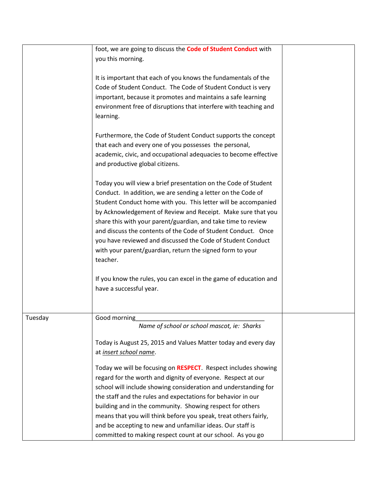|         | foot, we are going to discuss the <b>Code of Student Conduct</b> with<br>you this morning.                                                                                                                                                                                                                                                                                                                                                                                                                                                  |
|---------|---------------------------------------------------------------------------------------------------------------------------------------------------------------------------------------------------------------------------------------------------------------------------------------------------------------------------------------------------------------------------------------------------------------------------------------------------------------------------------------------------------------------------------------------|
|         | It is important that each of you knows the fundamentals of the<br>Code of Student Conduct. The Code of Student Conduct is very<br>important, because it promotes and maintains a safe learning<br>environment free of disruptions that interfere with teaching and<br>learning.                                                                                                                                                                                                                                                             |
|         | Furthermore, the Code of Student Conduct supports the concept<br>that each and every one of you possesses the personal,<br>academic, civic, and occupational adequacies to become effective<br>and productive global citizens.                                                                                                                                                                                                                                                                                                              |
|         | Today you will view a brief presentation on the Code of Student<br>Conduct. In addition, we are sending a letter on the Code of<br>Student Conduct home with you. This letter will be accompanied<br>by Acknowledgement of Review and Receipt. Make sure that you<br>share this with your parent/guardian, and take time to review<br>and discuss the contents of the Code of Student Conduct. Once<br>you have reviewed and discussed the Code of Student Conduct<br>with your parent/guardian, return the signed form to your<br>teacher. |
|         | If you know the rules, you can excel in the game of education and<br>have a successful year.                                                                                                                                                                                                                                                                                                                                                                                                                                                |
| Tuesday | Good morning<br>Name of school or school mascot, ie: Sharks                                                                                                                                                                                                                                                                                                                                                                                                                                                                                 |
|         | Today is August 25, 2015 and Values Matter today and every day<br>at insert school name.                                                                                                                                                                                                                                                                                                                                                                                                                                                    |
|         | Today we will be focusing on RESPECT. Respect includes showing<br>regard for the worth and dignity of everyone. Respect at our<br>school will include showing consideration and understanding for<br>the staff and the rules and expectations for behavior in our<br>building and in the community. Showing respect for others<br>means that you will think before you speak, treat others fairly,<br>and be accepting to new and unfamiliar ideas. Our staff is<br>committed to making respect count at our school. As you go              |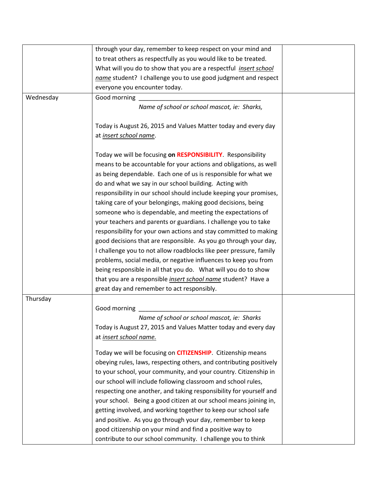|           | through your day, remember to keep respect on your mind and          |  |
|-----------|----------------------------------------------------------------------|--|
|           | to treat others as respectfully as you would like to be treated.     |  |
|           | What will you do to show that you are a respectful insert school     |  |
|           | name student? I challenge you to use good judgment and respect       |  |
|           |                                                                      |  |
|           | everyone you encounter today.                                        |  |
| Wednesday | Good morning                                                         |  |
|           | Name of school or school mascot, ie: Sharks,                         |  |
|           |                                                                      |  |
|           | Today is August 26, 2015 and Values Matter today and every day       |  |
|           | at insert school name.                                               |  |
|           |                                                                      |  |
|           | Today we will be focusing on RESPONSIBILITY. Responsibility          |  |
|           | means to be accountable for your actions and obligations, as well    |  |
|           | as being dependable. Each one of us is responsible for what we       |  |
|           | do and what we say in our school building. Acting with               |  |
|           | responsibility in our school should include keeping your promises,   |  |
|           | taking care of your belongings, making good decisions, being         |  |
|           | someone who is dependable, and meeting the expectations of           |  |
|           | your teachers and parents or guardians. I challenge you to take      |  |
|           | responsibility for your own actions and stay committed to making     |  |
|           | good decisions that are responsible. As you go through your day,     |  |
|           | I challenge you to not allow roadblocks like peer pressure, family   |  |
|           | problems, social media, or negative influences to keep you from      |  |
|           | being responsible in all that you do. What will you do to show       |  |
|           | that you are a responsible <i>insert school name</i> student? Have a |  |
|           | great day and remember to act responsibly.                           |  |
| Thursday  |                                                                      |  |
|           | Good morning                                                         |  |
|           | Name of school or school mascot, ie: Sharks                          |  |
|           | Today is August 27, 2015 and Values Matter today and every day       |  |
|           | at insert school name.                                               |  |
|           |                                                                      |  |
|           | Today we will be focusing on <b>CITIZENSHIP</b> . Citizenship means  |  |
|           | obeying rules, laws, respecting others, and contributing positively  |  |
|           | to your school, your community, and your country. Citizenship in     |  |
|           | our school will include following classroom and school rules,        |  |
|           | respecting one another, and taking responsibility for yourself and   |  |
|           | your school. Being a good citizen at our school means joining in,    |  |
|           | getting involved, and working together to keep our school safe       |  |
|           | and positive. As you go through your day, remember to keep           |  |
|           | good citizenship on your mind and find a positive way to             |  |
|           | contribute to our school community. I challenge you to think         |  |
|           |                                                                      |  |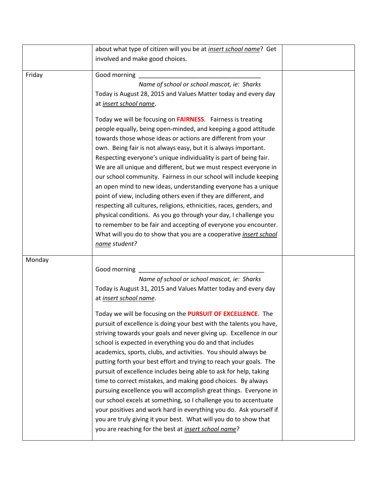|        | about what type of citizen will you be at <i>insert school name</i> ? Get |  |
|--------|---------------------------------------------------------------------------|--|
|        | involved and make good choices.                                           |  |
|        |                                                                           |  |
| Friday | Good morning                                                              |  |
|        | Name of school or school mascot, ie: Sharks                               |  |
|        | Today is August 28, 2015 and Values Matter today and every day            |  |
|        | at insert school name.                                                    |  |
|        | Today we will be focusing on <b>FAIRNESS</b> . Fairness is treating       |  |
|        | people equally, being open-minded, and keeping a good attitude            |  |
|        | towards those whose ideas or actions are different from your              |  |
|        | own. Being fair is not always easy, but it is always important.           |  |
|        | Respecting everyone's unique individuality is part of being fair.         |  |
|        | We are all unique and different, but we must respect everyone in          |  |
|        | our school community. Fairness in our school will include keeping         |  |
|        | an open mind to new ideas, understanding everyone has a unique            |  |
|        | point of view, including others even if they are different, and           |  |
|        | respecting all cultures, religions, ethnicities, races, genders, and      |  |
|        | physical conditions. As you go through your day, I challenge you          |  |
|        | to remember to be fair and accepting of everyone you encounter.           |  |
|        | What will you do to show that you are a cooperative <i>insert school</i>  |  |
|        | name student?                                                             |  |
| Monday |                                                                           |  |
|        | Good morning                                                              |  |
|        | Name of school or school mascot, ie: Sharks                               |  |
|        | Today is August 31, 2015 and Values Matter today and every day            |  |
|        | at insert school name.                                                    |  |
|        |                                                                           |  |
|        | Today we will be focusing on the PURSUIT OF EXCELLENCE. The               |  |
|        | pursuit of excellence is doing your best with the talents you have,       |  |
|        | striving towards your goals and never giving up. Excellence in our        |  |
|        | school is expected in everything you do and that includes                 |  |
|        | academics, sports, clubs, and activities. You should always be            |  |
|        | putting forth your best effort and trying to reach your goals. The        |  |
|        | pursuit of excellence includes being able to ask for help, taking         |  |
|        | time to correct mistakes, and making good choices. By always              |  |
|        | pursuing excellence you will accomplish great things. Everyone in         |  |
|        | our school excels at something, so I challenge you to accentuate          |  |
|        | your positives and work hard in everything you do. Ask yourself if        |  |
|        | you are truly giving it your best. What will you do to show that          |  |
|        | you are reaching for the best at <i>insert school name</i> ?              |  |
|        |                                                                           |  |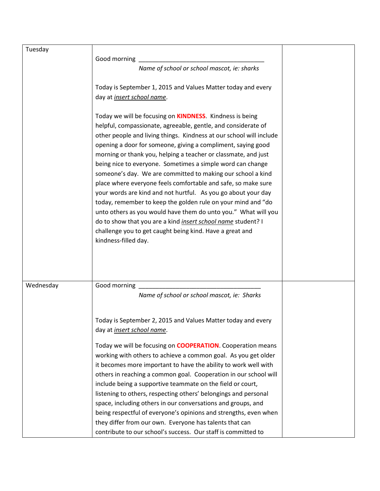| Tuesday   |                                                                                                                               |  |
|-----------|-------------------------------------------------------------------------------------------------------------------------------|--|
|           | Good morning                                                                                                                  |  |
|           | Name of school or school mascot, ie: sharks                                                                                   |  |
|           |                                                                                                                               |  |
|           | Today is September 1, 2015 and Values Matter today and every                                                                  |  |
|           | day at <i>insert school name</i> .                                                                                            |  |
|           |                                                                                                                               |  |
|           | Today we will be focusing on <b>KINDNESS</b> . Kindness is being                                                              |  |
|           | helpful, compassionate, agreeable, gentle, and considerate of                                                                 |  |
|           | other people and living things. Kindness at our school will include                                                           |  |
|           | opening a door for someone, giving a compliment, saying good                                                                  |  |
|           | morning or thank you, helping a teacher or classmate, and just                                                                |  |
|           | being nice to everyone. Sometimes a simple word can change                                                                    |  |
|           | someone's day. We are committed to making our school a kind                                                                   |  |
|           | place where everyone feels comfortable and safe, so make sure                                                                 |  |
|           | your words are kind and not hurtful. As you go about your day<br>today, remember to keep the golden rule on your mind and "do |  |
|           | unto others as you would have them do unto you." What will you                                                                |  |
|           | do to show that you are a kind <i>insert school name</i> student? I                                                           |  |
|           | challenge you to get caught being kind. Have a great and                                                                      |  |
|           | kindness-filled day.                                                                                                          |  |
|           |                                                                                                                               |  |
|           |                                                                                                                               |  |
|           |                                                                                                                               |  |
|           |                                                                                                                               |  |
| Wednesday | Good morning                                                                                                                  |  |
|           | Name of school or school mascot, ie: Sharks                                                                                   |  |
|           |                                                                                                                               |  |
|           | Today is September 2, 2015 and Values Matter today and every                                                                  |  |
|           | day at <i>insert school name</i> .                                                                                            |  |
|           |                                                                                                                               |  |
|           | Today we will be focusing on <b>COOPERATION</b> . Cooperation means                                                           |  |
|           | working with others to achieve a common goal. As you get older                                                                |  |
|           | it becomes more important to have the ability to work well with                                                               |  |
|           | others in reaching a common goal. Cooperation in our school will                                                              |  |
|           | include being a supportive teammate on the field or court,                                                                    |  |
|           | listening to others, respecting others' belongings and personal                                                               |  |
|           | space, including others in our conversations and groups, and                                                                  |  |
|           | being respectful of everyone's opinions and strengths, even when                                                              |  |
|           | they differ from our own. Everyone has talents that can                                                                       |  |
|           | contribute to our school's success. Our staff is committed to                                                                 |  |